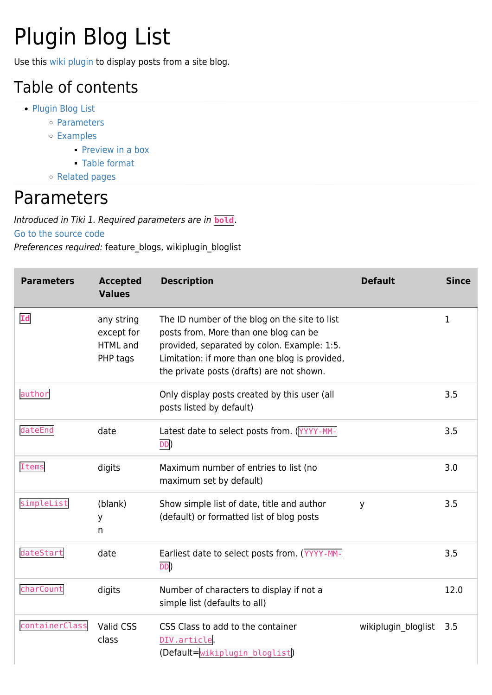# Plugin Blog List

Use this [wiki plugin](https://doc.tiki.org/wiki%20plugin) to display posts from a site blog.

#### Table of contents

- [Plugin Blog List](#page--1-0)
	- [Parameters](#page--1-0)
	- [Examples](#page--1-0)
		- **[Preview in a box](#page--1-0)**
		- [Table format](#page--1-0)
	- [Related pages](#page--1-0)

#### Parameters

Introduced in Tiki 1. Required parameters are in **bold**.

[Go to the source code](https://gitlab.com/tikiwiki/tiki/-/blob/master/lib/wiki-plugins/wikiplugin_bloglist.php)

Preferences required: feature\_blogs, wikiplugin\_bloglist

| <b>Parameters</b> | <b>Accepted</b><br><b>Values</b>                        | <b>Description</b>                                                                                                                                                                                                                   | <b>Default</b>      | <b>Since</b> |
|-------------------|---------------------------------------------------------|--------------------------------------------------------------------------------------------------------------------------------------------------------------------------------------------------------------------------------------|---------------------|--------------|
| Id                | any string<br>except for<br><b>HTML</b> and<br>PHP tags | The ID number of the blog on the site to list<br>posts from. More than one blog can be<br>provided, separated by colon. Example: 1:5.<br>Limitation: if more than one blog is provided,<br>the private posts (drafts) are not shown. |                     | 1            |
| author            |                                                         | Only display posts created by this user (all<br>posts listed by default)                                                                                                                                                             |                     | 3.5          |
| dateEnd           | date                                                    | Latest date to select posts from. (YYYY-MM-<br>DD)                                                                                                                                                                                   |                     | 3.5          |
| <b>Items</b>      | digits                                                  | Maximum number of entries to list (no<br>maximum set by default)                                                                                                                                                                     |                     | 3.0          |
| simpleList        | (blank)<br>У<br>n                                       | Show simple list of date, title and author<br>(default) or formatted list of blog posts                                                                                                                                              | y                   | 3.5          |
| dateStart         | date                                                    | Earliest date to select posts from. (YYYY-MM-<br>DD                                                                                                                                                                                  |                     | 3.5          |
| charCount         | digits                                                  | Number of characters to display if not a<br>simple list (defaults to all)                                                                                                                                                            |                     | 12.0         |
| containerClass    | Valid CSS<br>class                                      | CSS Class to add to the container<br>DIV.article<br>(Default=wikiplugin bloglist)                                                                                                                                                    | wikiplugin_bloglist | 3.5          |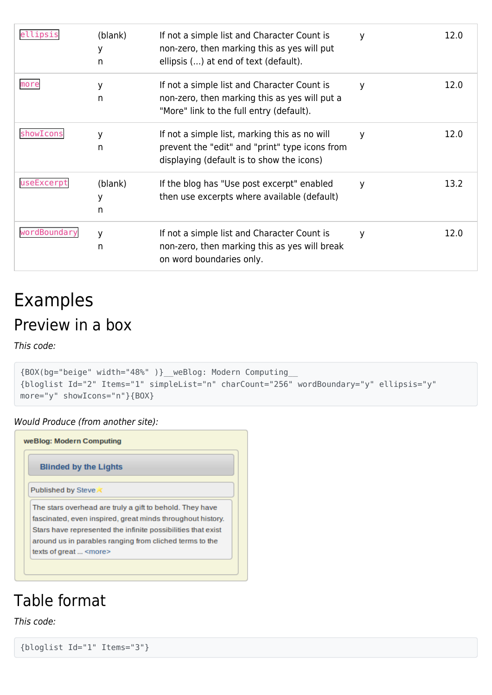| ellipsis     | (blank)<br>у<br>n | If not a simple list and Character Count is<br>non-zero, then marking this as yes will put<br>ellipsis () at end of text (default).          | y | 12.0 |
|--------------|-------------------|----------------------------------------------------------------------------------------------------------------------------------------------|---|------|
| more         | у<br>n            | If not a simple list and Character Count is<br>non-zero, then marking this as yes will put a<br>"More" link to the full entry (default).     | y | 12.0 |
| showIcons    | У<br>n            | If not a simple list, marking this as no will<br>prevent the "edit" and "print" type icons from<br>displaying (default is to show the icons) | y | 12.0 |
| useExcerpt   | (blank)<br>У<br>n | If the blog has "Use post excerpt" enabled<br>then use excerpts where available (default)                                                    | y | 13.2 |
| wordBoundary | y<br>n            | If not a simple list and Character Count is<br>non-zero, then marking this as yes will break<br>on word boundaries only.                     | у | 12.0 |

### Examples Preview in a box

This code:

```
{BOX(bg="beige" width="48%" )}__weBlog: Modern Computing__
{bloglist Id="2" Items="1" simpleList="n" charCount="256" wordBoundary="y" ellipsis="y"
more="y" showIcons="n"}{BOX}
```
Would Produce (from another site):

| <b>Blinded by the Lights</b> |                                                              |  |  |
|------------------------------|--------------------------------------------------------------|--|--|
|                              | <b>Published by Steve X</b>                                  |  |  |
|                              | The stars overhead are truly a gift to behold. They have     |  |  |
|                              | fascinated, even inspired, great minds throughout history.   |  |  |
|                              | Stars have represented the infinite possibilities that exist |  |  |
|                              | around us in parables ranging from cliched terms to the      |  |  |
|                              | texts of great <more></more>                                 |  |  |

#### Table format

This code:

```
{bloglist Id="1" Items="3"}
```